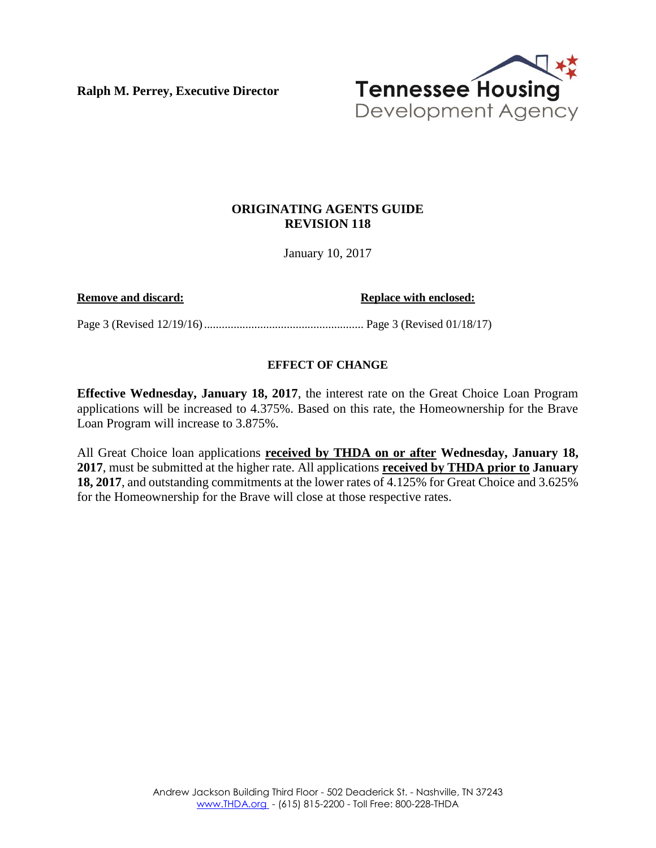**Ralph M. Perrey, Executive Director**



### **ORIGINATING AGENTS GUIDE REVISION 118**

January 10, 2017

**Remove and discard: Replace with enclosed: Replace with enclosed:** 

Page 3 (Revised 12/19/16)...................................................... Page 3 (Revised 01/18/17)

### **EFFECT OF CHANGE**

**Effective Wednesday, January 18, 2017**, the interest rate on the Great Choice Loan Program applications will be increased to 4.375%. Based on this rate, the Homeownership for the Brave Loan Program will increase to 3.875%.

All Great Choice loan applications **received by THDA on or after Wednesday, January 18, 2017**, must be submitted at the higher rate. All applications **received by THDA prior to January 18, 2017**, and outstanding commitments at the lower rates of 4.125% for Great Choice and 3.625% for the Homeownership for the Brave will close at those respective rates.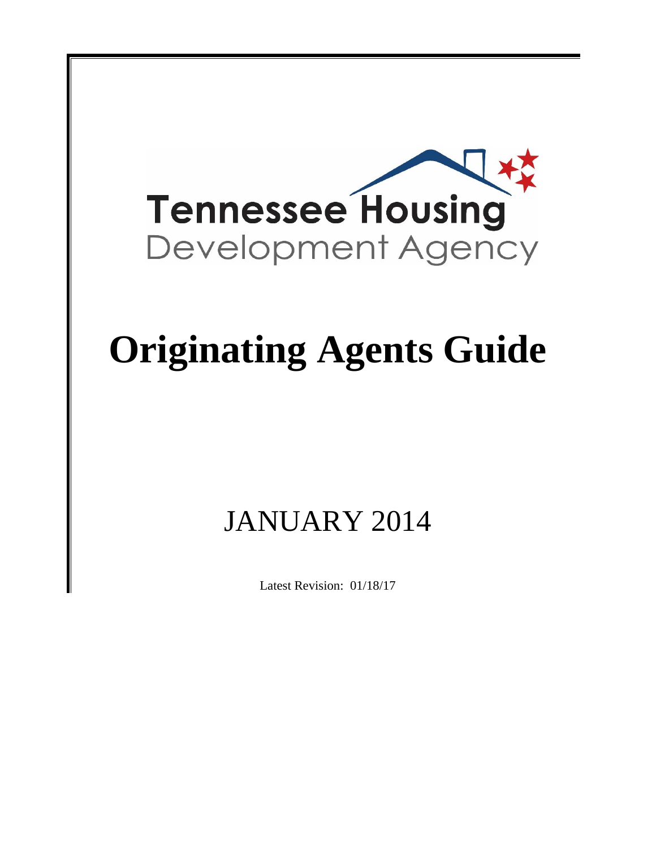

# **Originating Agents Guide**

## JANUARY 2014

Latest Revision: 01/18/17